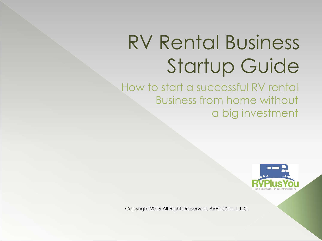# RV Rental Business Startup Guide

How to start a successful RV rental Business from home without a big investment



Copyright 2016 All Rights Reserved, RVPlusYou, L.L.C.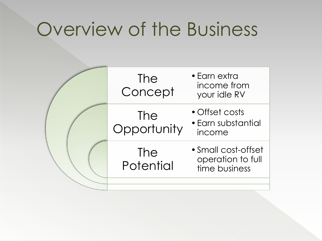## Overview of the Business

|  | <b>The</b><br>Concept   | • Earn extra<br>income from<br>your idle RV               |
|--|-------------------------|-----------------------------------------------------------|
|  | The<br>Opportunity      | • Offset costs<br>• Earn substantial<br>income            |
|  | <b>The</b><br>Potential | • Small cost-offset<br>operation to full<br>time business |
|  |                         |                                                           |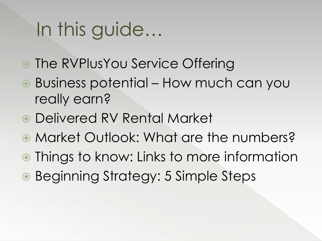# In this guide…

- The RVPlusYou Service Offering
- Business potential How much can you really earn?
- Delivered RV Rental Market
- Market Outlook: What are the numbers?
- Things to know: Links to more information
- Beginning Strategy: 5 Simple Steps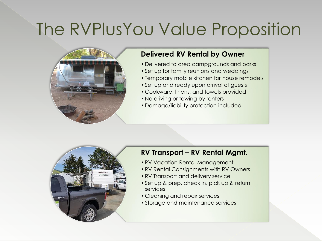## The RVPlusYou Value Proposition



#### **Delivered RV Rental by Owner**

- •Delivered to area campgrounds and parks
- •Set up for family reunions and weddings
- •Temporary mobile kitchen for house remodels
- Set up and ready upon arrival of guests
- Cookware, linens, and towels provided
- •No driving or towing by renters
- •Damage/liability protection included



#### **RV Transport – RV Rental Mgmt.**

- •RV Vacation Rental Management
- •RV Rental Consignments with RV Owners
- •RV Transport and delivery service
- •Set up & prep, check in, pick up & return services
- Cleaning and repair services
- •Storage and maintenance services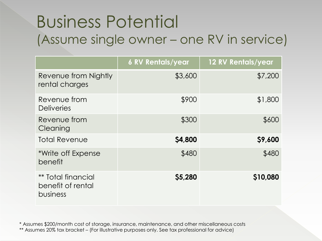### Business Potential (Assume single owner – one RV in service)

|                                                            | <b>6 RV Rentals/year</b> | 12 RV Rentals/year |
|------------------------------------------------------------|--------------------------|--------------------|
| Revenue from Nightly<br>rental charges                     | \$3,600                  | \$7,200            |
| Revenue from<br><b>Deliveries</b>                          | \$900                    | \$1,800            |
| Revenue from<br>Cleaning                                   | \$300                    | \$600              |
| <b>Total Revenue</b>                                       | \$4,800                  | \$9,600            |
| *Write off Expense<br>benefit                              | \$480                    | \$480              |
| <b>** Total financial</b><br>benefit of rental<br>business | \$5,280                  | \$10,080           |

\* Assumes \$200/month cost of storage, insurance, maintenance, and other miscellaneous costs \*\* Assumes 20% tax bracket – (For illustrative purposes only. See tax professional for advice)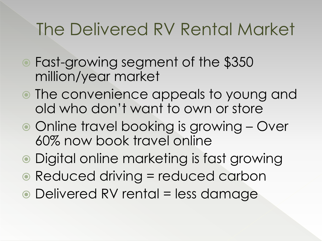## The Delivered RV Rental Market

- Fast-growing segment of the \$350 million/year market
- The convenience appeals to young and old who don't want to own or store
- Online travel booking is growing Over 60% now book travel online
- Digital online marketing is fast growing
- Reduced driving = reduced carbon
- Delivered RV rental = less damage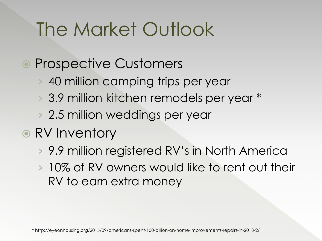# The Market Outlook

- Prospective Customers
	- › 40 million camping trips per year
	- › 3.9 million kitchen remodels per year \*
	- › 2.5 million weddings per year
- RV Inventory
	- › 9.9 million registered RV's in North America
	- › 10% of RV owners would like to rent out their RV to earn extra money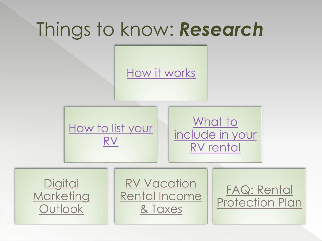